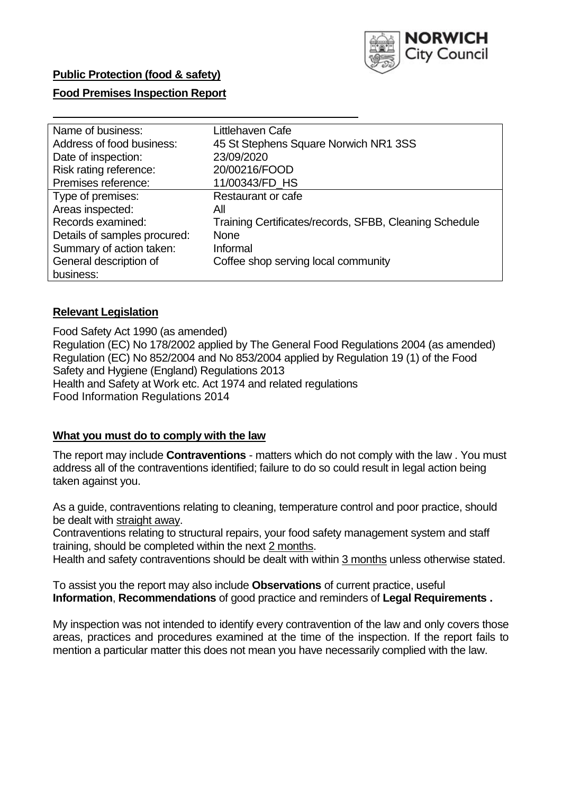

## **Public Protection (food & safety)**

## **Food Premises Inspection Report**

| Name of business:            | Littlehaven Cafe                                       |
|------------------------------|--------------------------------------------------------|
| Address of food business:    | 45 St Stephens Square Norwich NR1 3SS                  |
| Date of inspection:          | 23/09/2020                                             |
| Risk rating reference:       | 20/00216/FOOD                                          |
| Premises reference:          | 11/00343/FD_HS                                         |
| Type of premises:            | Restaurant or cafe                                     |
| Areas inspected:             | All                                                    |
| Records examined:            | Training Certificates/records, SFBB, Cleaning Schedule |
| Details of samples procured: | <b>None</b>                                            |
| Summary of action taken:     | Informal                                               |
| General description of       | Coffee shop serving local community                    |
| business:                    |                                                        |

## **Relevant Legislation**

 Food Safety Act 1990 (as amended) Regulation (EC) No 178/2002 applied by The General Food Regulations 2004 (as amended) Regulation (EC) No 852/2004 and No 853/2004 applied by Regulation 19 (1) of the Food Safety and Hygiene (England) Regulations 2013 Health and Safety at Work etc. Act 1974 and related regulations Food Information Regulations 2014

#### **What you must do to comply with the law**

 The report may include **Contraventions** - matters which do not comply with the law . You must address all of the contraventions identified; failure to do so could result in legal action being taken against you.

 As a guide, contraventions relating to cleaning, temperature control and poor practice, should be dealt with straight away.

 Contraventions relating to structural repairs, your food safety management system and staff training, should be completed within the next 2 months.

Health and safety contraventions should be dealt with within 3 months unless otherwise stated.

 To assist you the report may also include **Observations** of current practice, useful **Information**, **Recommendations** of good practice and reminders of **Legal Requirements .** 

 My inspection was not intended to identify every contravention of the law and only covers those areas, practices and procedures examined at the time of the inspection. If the report fails to mention a particular matter this does not mean you have necessarily complied with the law.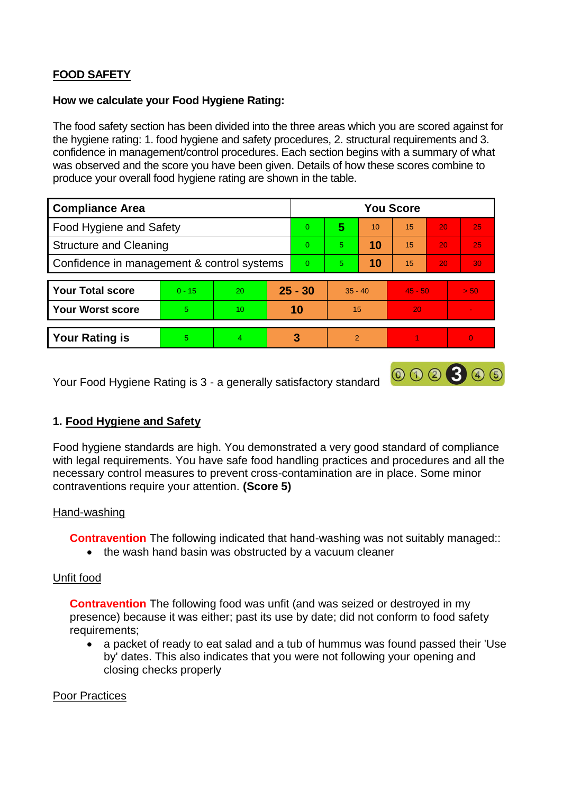# **FOOD SAFETY**

## **How we calculate your Food Hygiene Rating:**

 The food safety section has been divided into the three areas which you are scored against for the hygiene rating: 1. food hygiene and safety procedures, 2. structural requirements and 3. confidence in management/control procedures. Each section begins with a summary of what was observed and the score you have been given. Details of how these scores combine to produce your overall food hygiene rating are shown in the table.

| <b>Compliance Area</b>                     |          |    |           | <b>You Score</b> |                |    |           |    |      |  |  |
|--------------------------------------------|----------|----|-----------|------------------|----------------|----|-----------|----|------|--|--|
| <b>Food Hygiene and Safety</b>             |          |    |           | $\Omega$         | 5              | 10 | 15        | 20 | 25   |  |  |
| <b>Structure and Cleaning</b>              |          |    | $\Omega$  | 5                | 10             | 15 | 20        | 25 |      |  |  |
| Confidence in management & control systems |          |    | $\Omega$  | 5                | 10             | 15 | 20        | 30 |      |  |  |
|                                            |          |    |           |                  |                |    |           |    |      |  |  |
| <b>Your Total score</b>                    | $0 - 15$ | 20 | $25 - 30$ |                  | $35 - 40$      |    | $45 - 50$ |    | > 50 |  |  |
| <b>Your Worst score</b>                    | 5        | 10 | 10        |                  | 15             |    | 20        |    |      |  |  |
|                                            |          |    |           |                  |                |    |           |    |      |  |  |
| <b>Your Rating is</b>                      | 5        | 4  | 3         |                  | $\overline{2}$ |    |           |    |      |  |  |

Your Food Hygiene Rating is 3 - a generally satisfactory standard

# **1. Food Hygiene and Safety**

 with legal requirements. You have safe food handling practices and procedures and all the Food hygiene standards are high. You demonstrated a very good standard of compliance necessary control measures to prevent cross-contamination are in place. Some minor contraventions require your attention. **(Score 5)** 

000300

## Hand-washing

**Contravention** The following indicated that hand-washing was not suitably managed::

• the wash hand basin was obstructed by a vacuum cleaner

## Unfit food

**Contravention** The following food was unfit (and was seized or destroyed in my presence) because it was either; past its use by date; did not conform to food safety requirements;

 a packet of ready to eat salad and a tub of hummus was found passed their 'Use by' dates. This also indicates that you were not following your opening and closing checks properly

#### Poor Practices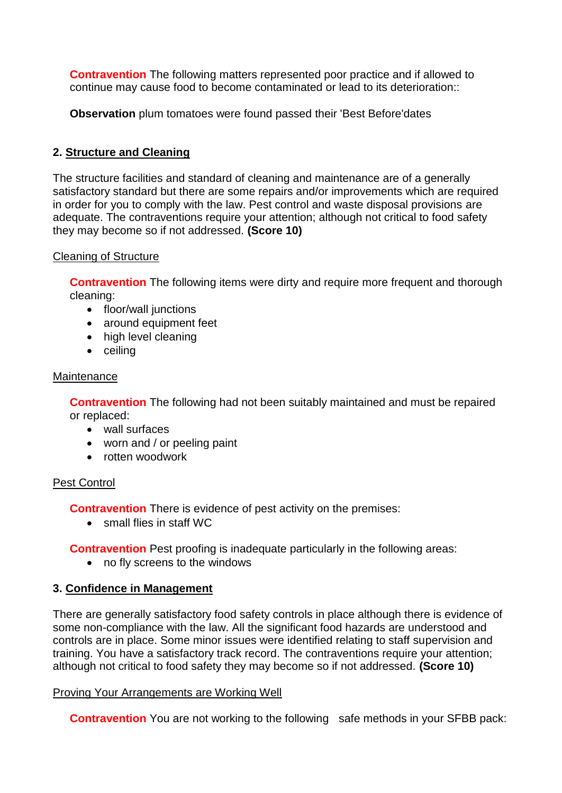**Contravention** The following matters represented poor practice and if allowed to continue may cause food to become contaminated or lead to its deterioration::

**Observation** plum tomatoes were found passed their 'Best Before'dates

# **2. Structure and Cleaning**

 The structure facilities and standard of cleaning and maintenance are of a generally adequate. The contraventions require your attention; although not critical to food safety satisfactory standard but there are some repairs and/or improvements which are required in order for you to comply with the law. Pest control and waste disposal provisions are they may become so if not addressed. **(Score 10)** 

## Cleaning of Structure

**Contravention** The following items were dirty and require more frequent and thorough cleaning:

- floor/wall junctions
- around equipment feet
- high level cleaning
- ceiling

## Maintenance

**Contravention** The following had not been suitably maintained and must be repaired or replaced:

- wall surfaces
- worn and / or peeling paint
- rotten woodwork

# Pest Control

**Contravention** There is evidence of pest activity on the premises:

• small flies in staff WC

**Contravention** Pest proofing is inadequate particularly in the following areas:

no fly screens to the windows

# **3. Confidence in Management**

There are generally satisfactory food safety controls in place although there is evidence of some non-compliance with the law. All the significant food hazards are understood and controls are in place. Some minor issues were identified relating to staff supervision and training. You have a satisfactory track record. The contraventions require your attention; although not critical to food safety they may become so if not addressed. **(Score 10)** 

## Proving Your Arrangements are Working Well

**Contravention** You are not working to the following safe methods in your SFBB pack: